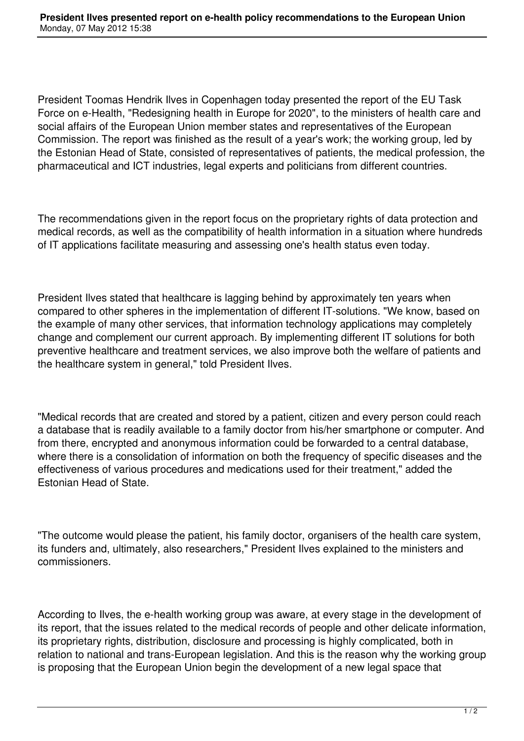President Toomas Hendrik Ilves in Copenhagen today presented the report of the EU Task Force on e-Health, "Redesigning health in Europe for 2020", to the ministers of health care and social affairs of the European Union member states and representatives of the European Commission. The report was finished as the result of a year's work; the working group, led by the Estonian Head of State, consisted of representatives of patients, the medical profession, the pharmaceutical and ICT industries, legal experts and politicians from different countries.

The recommendations given in the report focus on the proprietary rights of data protection and medical records, as well as the compatibility of health information in a situation where hundreds of IT applications facilitate measuring and assessing one's health status even today.

President Ilves stated that healthcare is lagging behind by approximately ten years when compared to other spheres in the implementation of different IT-solutions. "We know, based on the example of many other services, that information technology applications may completely change and complement our current approach. By implementing different IT solutions for both preventive healthcare and treatment services, we also improve both the welfare of patients and the healthcare system in general," told President Ilves.

"Medical records that are created and stored by a patient, citizen and every person could reach a database that is readily available to a family doctor from his/her smartphone or computer. And from there, encrypted and anonymous information could be forwarded to a central database, where there is a consolidation of information on both the frequency of specific diseases and the effectiveness of various procedures and medications used for their treatment," added the Estonian Head of State.

"The outcome would please the patient, his family doctor, organisers of the health care system, its funders and, ultimately, also researchers," President Ilves explained to the ministers and commissioners.

According to Ilves, the e-health working group was aware, at every stage in the development of its report, that the issues related to the medical records of people and other delicate information, its proprietary rights, distribution, disclosure and processing is highly complicated, both in relation to national and trans-European legislation. And this is the reason why the working group is proposing that the European Union begin the development of a new legal space that